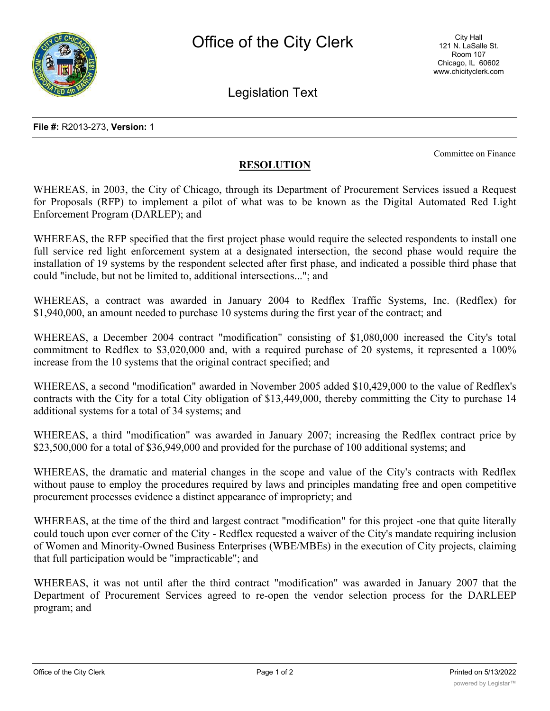

Legislation Text

**File #:** R2013-273, **Version:** 1

Committee on Finance

## **RESOLUTION**

WHEREAS, in 2003, the City of Chicago, through its Department of Procurement Services issued a Request for Proposals (RFP) to implement a pilot of what was to be known as the Digital Automated Red Light Enforcement Program (DARLEP); and

WHEREAS, the RFP specified that the first project phase would require the selected respondents to install one full service red light enforcement system at a designated intersection, the second phase would require the installation of 19 systems by the respondent selected after first phase, and indicated a possible third phase that could "include, but not be limited to, additional intersections..."; and

WHEREAS, a contract was awarded in January 2004 to Redflex Traffic Systems, Inc. (Redflex) for \$1,940,000, an amount needed to purchase 10 systems during the first year of the contract; and

WHEREAS, a December 2004 contract "modification" consisting of \$1,080,000 increased the City's total commitment to Redflex to \$3,020,000 and, with a required purchase of 20 systems, it represented a 100% increase from the 10 systems that the original contract specified; and

WHEREAS, a second "modification" awarded in November 2005 added \$10,429,000 to the value of Redflex's contracts with the City for a total City obligation of \$13,449,000, thereby committing the City to purchase 14 additional systems for a total of 34 systems; and

WHEREAS, a third "modification" was awarded in January 2007; increasing the Redflex contract price by \$23,500,000 for a total of \$36,949,000 and provided for the purchase of 100 additional systems; and

WHEREAS, the dramatic and material changes in the scope and value of the City's contracts with Redflex without pause to employ the procedures required by laws and principles mandating free and open competitive procurement processes evidence a distinct appearance of impropriety; and

WHEREAS, at the time of the third and largest contract "modification" for this project -one that quite literally could touch upon ever corner of the City - Redflex requested a waiver of the City's mandate requiring inclusion of Women and Minority-Owned Business Enterprises (WBE/MBEs) in the execution of City projects, claiming that full participation would be "impracticable"; and

WHEREAS, it was not until after the third contract "modification" was awarded in January 2007 that the Department of Procurement Services agreed to re-open the vendor selection process for the DARLEEP program; and